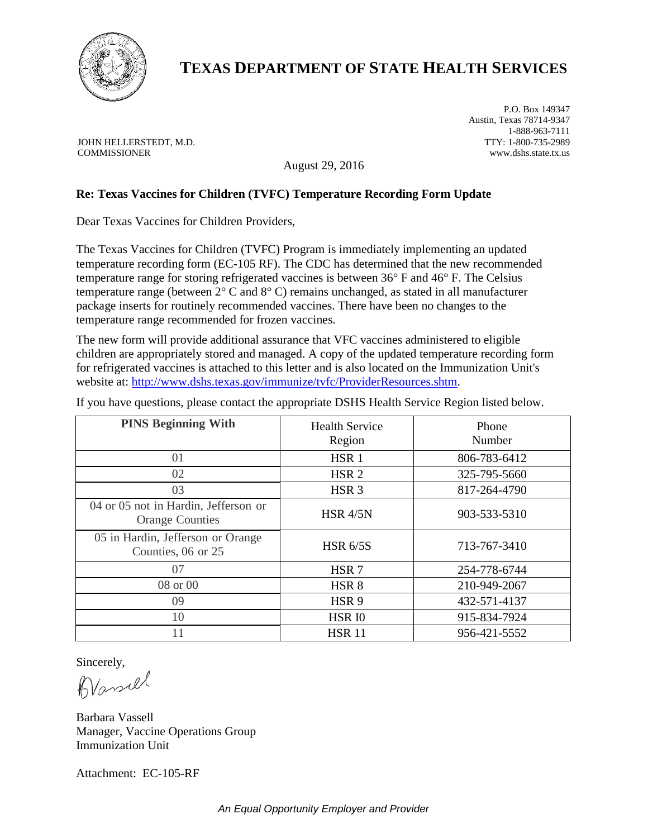

# **TEXAS DEPARTMENT OF STATE HEALTH SERVICES**

JOHN HELLERSTEDT, M.D. COMMISSIONER

P.O. Box 149347 Austin, Texas 78714-9347 1-888-963-7111 TTY: 1-800-735-2989 www.dshs.state.tx.us

August 29, 2016

## **Re: Texas Vaccines for Children (TVFC) Temperature Recording Form Update**

Dear Texas Vaccines for Children Providers,

The Texas Vaccines for Children (TVFC) Program is immediately implementing an updated temperature recording form (EC-105 RF). The CDC has determined that the new recommended temperature range for storing refrigerated vaccines is between 36° F and 46° F. The Celsius temperature range (between 2° C and 8° C) remains unchanged, as stated in all manufacturer package inserts for routinely recommended vaccines. There have been no changes to the temperature range recommended for frozen vaccines.

The new form will provide additional assurance that VFC vaccines administered to eligible children are appropriately stored and managed. A copy of the updated temperature recording form for refrigerated vaccines is attached to this letter and is also located on the Immunization Unit's website at: [http://www.dshs.texas.gov/immunize/tvfc/ProviderResources.shtm.](http://www.dshs.texas.gov/immunize/tvfc/ProviderResources.shtm)

If you have questions, please contact the appropriate DSHS Health Service Region listed below.

| <b>PINS Beginning With</b>                                     | <b>Health Service</b><br>Region | Phone<br>Number |  |  |  |  |  |
|----------------------------------------------------------------|---------------------------------|-----------------|--|--|--|--|--|
| 01                                                             | HSR <sub>1</sub>                | 806-783-6412    |  |  |  |  |  |
| 02                                                             | HSR <sub>2</sub>                | 325-795-5660    |  |  |  |  |  |
| 03                                                             | HSR <sub>3</sub>                | 817-264-4790    |  |  |  |  |  |
| 04 or 05 not in Hardin, Jefferson or<br><b>Orange Counties</b> | <b>HSR 4/5N</b>                 | 903-533-5310    |  |  |  |  |  |
| 05 in Hardin, Jefferson or Orange<br>Counties, 06 or 25        | <b>HSR 6/5S</b>                 | 713-767-3410    |  |  |  |  |  |
| 07                                                             | HSR <sub>7</sub>                | 254-778-6744    |  |  |  |  |  |
| 08 or 00                                                       | HSR <sub>8</sub>                | 210-949-2067    |  |  |  |  |  |
| 09                                                             | HSR <sub>9</sub>                | 432-571-4137    |  |  |  |  |  |
| 10                                                             | <b>HSR IO</b>                   | 915-834-7924    |  |  |  |  |  |
| 11                                                             | <b>HSR 11</b>                   | 956-421-5552    |  |  |  |  |  |

Sincerely,

Wassel

Barbara Vassell Manager, Vaccine Operations Group Immunization Unit

Attachment: EC-105-RF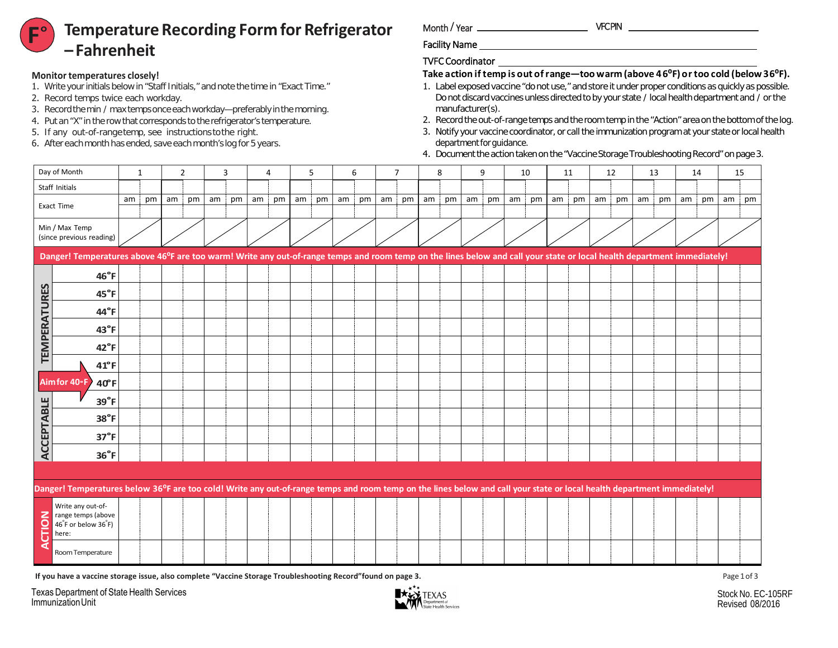## **Temperature Recording Form for Refrigerator –Fahrenheit F**°

#### **Monitor temperatures closely!**

- 1. Write your initials below in "Staff Initials," and note the time in "Exact Time."
- 2. Record temps twice each workday.
- 3. Record the min / max temps once each workday—preferably in the morning.
- 4. Put an "X" in the row that corresponds to the refrigerator's temperature.
- 5. If any out-of-range temp, see instructions tothe right.
- 6. After each month has ended, save each month's log for 5 years.

Month / Year

Facility Name

### TVFC Coordinator

# **Take action if temp is out of range—too warm (above 46⁰F) or too cold (below 36⁰F).**

- 1. Label exposed vaccine "do not use," and store it under proper conditions as quickly as possible. Do not discard vaccines unless directed to by your state / local health department and / or the manufacturer(s).
- 2. Record the out-of-range temps and the room temp in the "Action" area on the bottom of the log.
- 3. Notify your vaccine coordinator, or call the immunization program at your state or local health department for guidance.
- 4. Document the action taken on the "Vaccine Storage Troubleshooting Record" on page 3.



**If you have a vaccine storage issue, also complete "Vaccine Storage Troubleshooting Record"found on page 3.**

Texas Department of State Health Services Immunization Unit

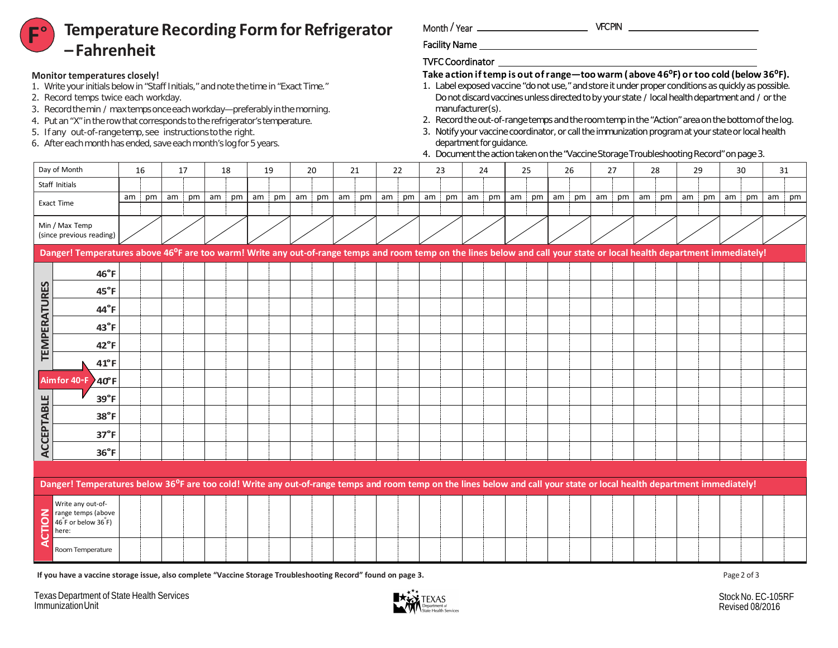# **F**°

# VFC PIN **Temperature Recording Form for Refrigerator –Fahrenheit**

### **Monitor temperatures closely!**

- 1. Write your initials below in "Staff Initials," and note the time in "Exact Time."
- 2. Record temps twice each workday.
- 3. Record the min / max temps once each workday—preferably in the morning.
- 4. Put an "X" in the rowthat corresponds to the refrigerator's temperature.
- 5. If any out-of-range temp,see instructions tothe right.
- 6. After each month has ended, save each month's log for 5 years.

Month / Year  $-$ 

Facility Name

## TVFC Coordinator

## **Take action if temp is out of range—too warm (above 46⁰F) or too cold (below 36⁰F).**

- 1. Label exposed vaccine "do not use," and store it under proper conditions as quickly as possible. Do not discard vaccines unless directed to by your state / local health department and / or the manufacturer(s).
- 2. Record the out-of-range temps and the room temp in the "Action" area on the bottom of the log.
- 3. Notify your vaccine coordinator, or call the immunization program at your state or local health department for guidance.
- 4. Document the action taken on the "Vaccine Storage Troubleshooting Record" on page 3.

|                     | Day of Month                                                                                                                                                                         |    | 16 |    | 17 | 18 |    |      | 19 |      | 20 |    | 21 |    | 22 |      | 23 |      | 24 |    | 25 | 26      | 27         | 28 |    | 29 |    |    | 30 | 31          |  |
|---------------------|--------------------------------------------------------------------------------------------------------------------------------------------------------------------------------------|----|----|----|----|----|----|------|----|------|----|----|----|----|----|------|----|------|----|----|----|---------|------------|----|----|----|----|----|----|-------------|--|
|                     | Staff Initials                                                                                                                                                                       |    |    |    |    |    |    |      |    |      |    |    |    |    |    |      |    |      |    |    |    |         |            |    |    |    |    |    |    |             |  |
|                     | <b>Exact Time</b>                                                                                                                                                                    | am | pm | am | pm | am | pm | am i | pm | am i | pm | am | pm | am | pm | am ¦ | pm | am i | pm | am | pm | am   pm | am i<br>pm | am | pm | am | pm | am | pm | $am$   $pm$ |  |
|                     |                                                                                                                                                                                      |    |    |    |    |    |    |      |    |      |    |    |    |    |    |      |    |      |    |    |    |         |            |    |    |    |    |    |    |             |  |
|                     | Min / Max Temp<br>(since previous reading)                                                                                                                                           |    |    |    |    |    |    |      |    |      |    |    |    |    |    |      |    |      |    |    |    |         |            |    |    |    |    |    |    |             |  |
|                     | Danger! Temperatures above 46 <sup>o</sup> F are too warm! Write any out-of-range temps and room temp on the lines below and call your state or local health department immediately! |    |    |    |    |    |    |      |    |      |    |    |    |    |    |      |    |      |    |    |    |         |            |    |    |    |    |    |    |             |  |
|                     | $46^{\circ}$ F                                                                                                                                                                       |    |    |    |    |    |    |      |    |      |    |    |    |    |    |      |    |      |    |    |    |         |            |    |    |    |    |    |    |             |  |
|                     | 45°F                                                                                                                                                                                 |    |    |    |    |    |    |      |    |      |    |    |    |    |    |      |    |      |    |    |    |         |            |    |    |    |    |    |    |             |  |
| <b>TEMPERATURES</b> | 44°F                                                                                                                                                                                 |    |    |    |    |    |    |      |    |      |    |    |    |    |    |      |    |      |    |    |    |         |            |    |    |    |    |    |    |             |  |
|                     | $43^\circ F$                                                                                                                                                                         |    |    |    |    |    |    |      |    |      |    |    |    |    |    |      |    |      |    |    |    |         |            |    |    |    |    |    |    |             |  |
|                     | $42^{\circ}$ F                                                                                                                                                                       |    |    |    |    |    |    |      |    |      |    |    |    |    |    |      |    |      |    |    |    |         |            |    |    |    |    |    |    |             |  |
|                     | $41^{\circ}$ F                                                                                                                                                                       |    |    |    |    |    |    |      |    |      |    |    |    |    |    |      |    |      |    |    |    |         |            |    |    |    |    |    |    |             |  |
|                     | Aimfor 40°F 240°F                                                                                                                                                                    |    |    |    |    |    |    |      |    |      |    |    |    |    |    |      |    |      |    |    |    |         |            |    |    |    |    |    |    |             |  |
|                     | $39^\circ F$                                                                                                                                                                         |    |    |    |    |    |    |      |    |      |    |    |    |    |    |      |    |      |    |    |    |         |            |    |    |    |    |    |    |             |  |
|                     | 38°F                                                                                                                                                                                 |    |    |    |    |    |    |      |    |      |    |    |    |    |    |      |    |      |    |    |    |         |            |    |    |    |    |    |    |             |  |
|                     | $37^\circ F$                                                                                                                                                                         |    |    |    |    |    |    |      |    |      |    |    |    |    |    |      |    |      |    |    |    |         |            |    |    |    |    |    |    |             |  |
| <b>ACCEPTABLE</b>   | $36^{\circ}$ F                                                                                                                                                                       |    |    |    |    |    |    |      |    |      |    |    |    |    |    |      |    |      |    |    |    |         |            |    |    |    |    |    |    |             |  |
|                     |                                                                                                                                                                                      |    |    |    |    |    |    |      |    |      |    |    |    |    |    |      |    |      |    |    |    |         |            |    |    |    |    |    |    |             |  |
|                     | Danger! Temperatures below 36°F are too cold! Write any out-of-range temps and room temp on the lines below and call your state or local health department immediately!              |    |    |    |    |    |    |      |    |      |    |    |    |    |    |      |    |      |    |    |    |         |            |    |    |    |    |    |    |             |  |
| <b>NOIT</b>         | Write any out-of-<br>range temps (above<br>46 F or below 36 F)<br>here:                                                                                                              |    |    |    |    |    |    |      |    |      |    |    |    |    |    |      |    |      |    |    |    |         |            |    |    |    |    |    |    |             |  |

**If you have a vaccine storage issue, also complete "Vaccine Storage Troubleshooting Record" found on page 3.**

Texas Department of State Health Services Immunization Unit

Room Temperature

**ACTION**



Page 2 of 3